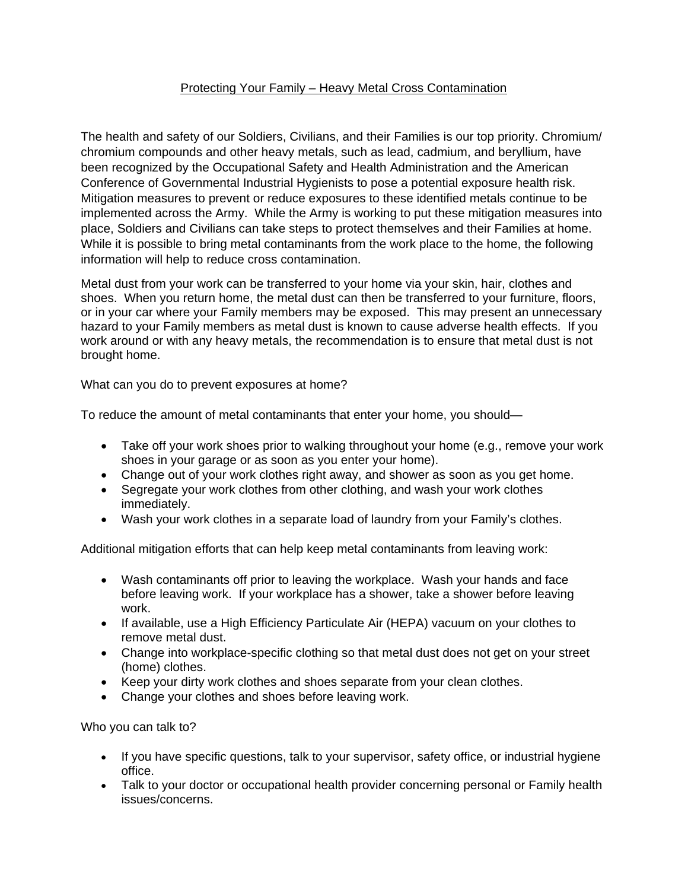## Protecting Your Family – Heavy Metal Cross Contamination

The health and safety of our Soldiers, Civilians, and their Families is our top priority. Chromium/ chromium compounds and other heavy metals, such as lead, cadmium, and beryllium, have been recognized by the Occupational Safety and Health Administration and the American Conference of Governmental Industrial Hygienists to pose a potential exposure health risk. Mitigation measures to prevent or reduce exposures to these identified metals continue to be implemented across the Army. While the Army is working to put these mitigation measures into place, Soldiers and Civilians can take steps to protect themselves and their Families at home. While it is possible to bring metal contaminants from the work place to the home, the following information will help to reduce cross contamination.

Metal dust from your work can be transferred to your home via your skin, hair, clothes and shoes. When you return home, the metal dust can then be transferred to your furniture, floors, or in your car where your Family members may be exposed. This may present an unnecessary hazard to your Family members as metal dust is known to cause adverse health effects. If you work around or with any heavy metals, the recommendation is to ensure that metal dust is not brought home.

What can you do to prevent exposures at home?

To reduce the amount of metal contaminants that enter your home, you should—

- Take off your work shoes prior to walking throughout your home (e.g., remove your work shoes in your garage or as soon as you enter your home).
- Change out of your work clothes right away, and shower as soon as you get home.
- Segregate your work clothes from other clothing, and wash your work clothes immediately.
- Wash your work clothes in a separate load of laundry from your Family's clothes.

Additional mitigation efforts that can help keep metal contaminants from leaving work:

- Wash contaminants off prior to leaving the workplace. Wash your hands and face before leaving work. If your workplace has a shower, take a shower before leaving work.
- If available, use a High Efficiency Particulate Air (HEPA) vacuum on your clothes to remove metal dust.
- Change into workplace-specific clothing so that metal dust does not get on your street (home) clothes.
- Keep your dirty work clothes and shoes separate from your clean clothes.
- Change your clothes and shoes before leaving work.

Who you can talk to?

- If you have specific questions, talk to your supervisor, safety office, or industrial hygiene office.
- Talk to your doctor or occupational health provider concerning personal or Family health issues/concerns.